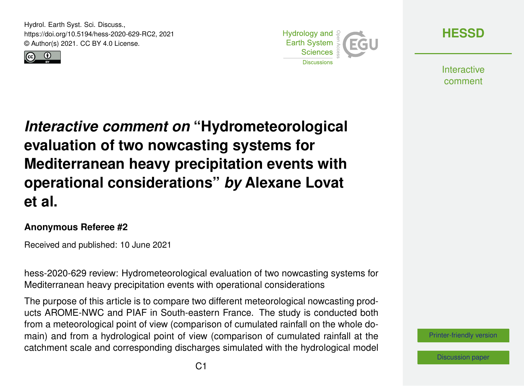Hydrol. Earth Syst. Sci. Discuss., https://doi.org/10.5194/hess-2020-629-RC2, 2021 © Author(s) 2021. CC BY 4.0 License.





**[HESSD](https://hess.copernicus.org/preprints/)**

**Interactive** comment

*Interactive comment on* **"Hydrometeorological evaluation of two nowcasting systems for Mediterranean heavy precipitation events with operational considerations"** *by* **Alexane Lovat et al.**

## **Anonymous Referee #2**

Received and published: 10 June 2021

hess-2020-629 review: Hydrometeorological evaluation of two nowcasting systems for Mediterranean heavy precipitation events with operational considerations

The purpose of this article is to compare two different meteorological nowcasting products AROME-NWC and PIAF in South-eastern France. The study is conducted both from a meteorological point of view (comparison of cumulated rainfall on the whole domain) and from a hydrological point of view (comparison of cumulated rainfall at the catchment scale and corresponding discharges simulated with the hydrological model

[Printer-friendly version](https://hess.copernicus.org/preprints/hess-2020-629/hess-2020-629-RC2-print.pdf)

[Discussion paper](https://hess.copernicus.org/preprints/hess-2020-629)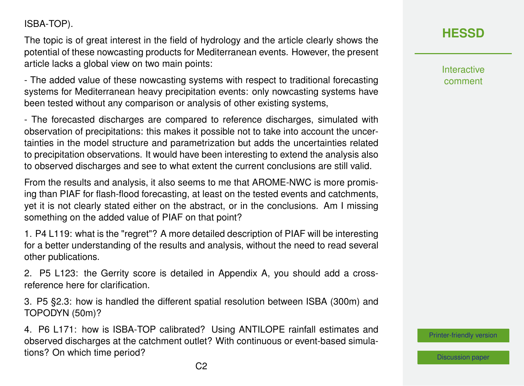## ISBA-TOP).

The topic is of great interest in the field of hydrology and the article clearly shows the potential of these nowcasting products for Mediterranean events. However, the present article lacks a global view on two main points:

- The added value of these nowcasting systems with respect to traditional forecasting systems for Mediterranean heavy precipitation events: only nowcasting systems have been tested without any comparison or analysis of other existing systems,

- The forecasted discharges are compared to reference discharges, simulated with observation of precipitations: this makes it possible not to take into account the uncertainties in the model structure and parametrization but adds the uncertainties related to precipitation observations. It would have been interesting to extend the analysis also to observed discharges and see to what extent the current conclusions are still valid.

From the results and analysis, it also seems to me that AROME-NWC is more promising than PIAF for flash-flood forecasting, at least on the tested events and catchments, yet it is not clearly stated either on the abstract, or in the conclusions. Am I missing something on the added value of PIAF on that point?

1. P4 L119: what is the "regret"? A more detailed description of PIAF will be interesting for a better understanding of the results and analysis, without the need to read several other publications.

2. P5 L123: the Gerrity score is detailed in Appendix A, you should add a crossreference here for clarification.

3. P5 §2.3: how is handled the different spatial resolution between ISBA (300m) and TOPODYN (50m)?

4. P6 L171: how is ISBA-TOP calibrated? Using ANTILOPE rainfall estimates and observed discharges at the catchment outlet? With continuous or event-based simulations? On which time period?

**[HESSD](https://hess.copernicus.org/preprints/)**

**Interactive** comment

[Printer-friendly version](https://hess.copernicus.org/preprints/hess-2020-629/hess-2020-629-RC2-print.pdf)

[Discussion paper](https://hess.copernicus.org/preprints/hess-2020-629)